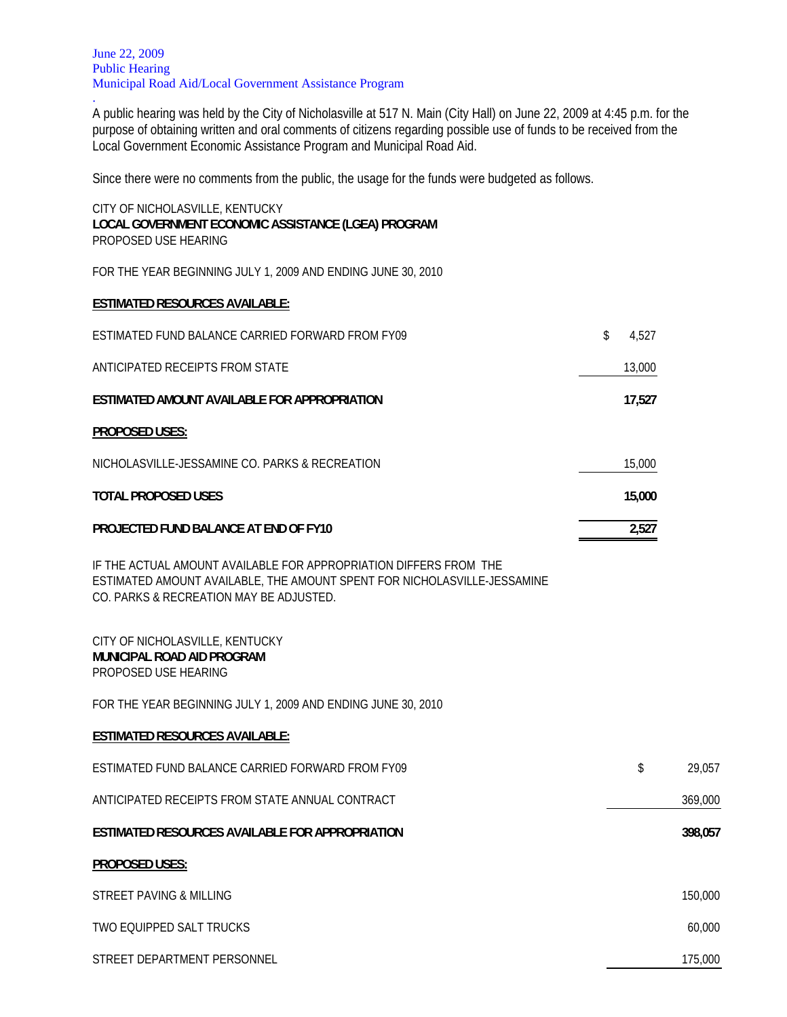June 22, 2009 Public Hearing Municipal Road Aid/Local Government Assistance Program

A public hearing was held by the City of Nicholasville at 517 N. Main (City Hall) on June 22, 2009 at 4:45 p.m. for the purpose of obtaining written and oral comments of citizens regarding possible use of funds to be received from the Local Government Economic Assistance Program and Municipal Road Aid.

Since there were no comments from the public, the usage for the funds were budgeted as follows.

CITY OF NICHOLASVILLE, KENTUCKY **LOCAL GOVERNMENT ECONOMIC ASSISTANCE (LGEA) PROGRAM**  PROPOSED USE HEARING

FOR THE YEAR BEGINNING JULY 1, 2009 AND ENDING JUNE 30, 2010

## **ESTIMATED RESOURCES AVAILABLE:**

.

| ESTIMATED FUND BALANCE CARRIED FORWARD FROM FY09                                                                                                                                         | \$<br>4,527 |         |
|------------------------------------------------------------------------------------------------------------------------------------------------------------------------------------------|-------------|---------|
| ANTICIPATED RECEIPTS FROM STATE                                                                                                                                                          | 13,000      |         |
| ESTIMATED AMOUNT AVAILABLE FOR APPROPRIATION                                                                                                                                             | 17,527      |         |
| <b>PROPOSED USES:</b>                                                                                                                                                                    |             |         |
| NICHOLASVILLE-JESSAMINE CO. PARKS & RECREATION                                                                                                                                           | 15,000      |         |
| <b>TOTAL PROPOSED USES</b>                                                                                                                                                               | 15,000      |         |
| PROJECTED FUND BALANCE AT END OF FY10                                                                                                                                                    | 2,527       |         |
| IF THE ACTUAL AMOUNT AVAILABLE FOR APPROPRIATION DIFFERS FROM THE<br>ESTIMATED AMOUNT AVAILABLE, THE AMOUNT SPENT FOR NICHOLASVILLE-JESSAMINE<br>CO. PARKS & RECREATION MAY BE ADJUSTED. |             |         |
| CITY OF NICHOLASVILLE, KENTUCKY<br><b>MUNICIPAL ROAD AID PROGRAM</b><br>PROPOSED USE HEARING                                                                                             |             |         |
| FOR THE YEAR BEGINNING JULY 1, 2009 AND ENDING JUNE 30, 2010                                                                                                                             |             |         |
| <b>ESTIMATED RESOURCES AVAILABLE:</b>                                                                                                                                                    |             |         |
| ESTIMATED FUND BALANCE CARRIED FORWARD FROM FY09                                                                                                                                         | \$          | 29,057  |
| ANTICIPATED RECEIPTS FROM STATE ANNUAL CONTRACT                                                                                                                                          |             | 369,000 |
| ESTIMATED RESOURCES AVAILABLE FOR APPROPRIATION                                                                                                                                          |             | 398,057 |
| PROPOSED USES:                                                                                                                                                                           |             |         |
| <b>STREET PAVING &amp; MILLING</b>                                                                                                                                                       |             | 150,000 |
| <b>TWO EQUIPPED SALT TRUCKS</b>                                                                                                                                                          |             | 60,000  |
|                                                                                                                                                                                          |             |         |

STREET DEPARTMENT PERSONNEL **175,000**